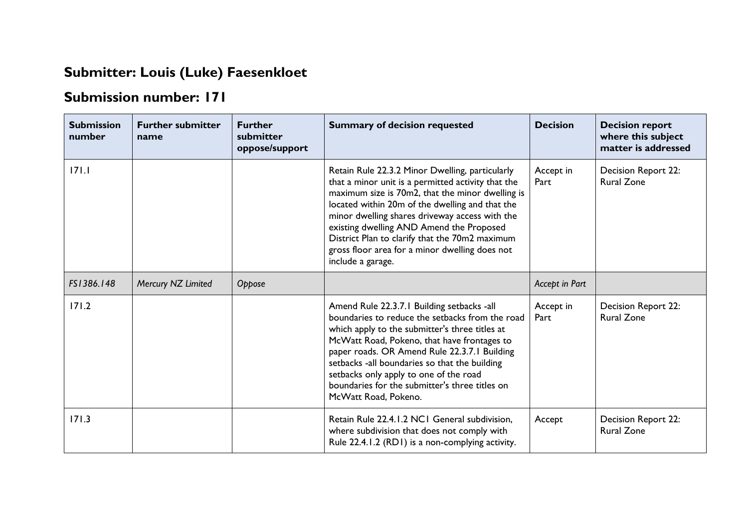## **Submitter: Louis (Luke) Faesenkloet**

## **Submission number: 171**

| <b>Submission</b><br>number | <b>Further submitter</b><br>name | <b>Further</b><br>submitter<br>oppose/support | <b>Summary of decision requested</b>                                                                                                                                                                                                                                                                                                                                                                                                | <b>Decision</b>   | <b>Decision report</b><br>where this subject<br>matter is addressed |
|-----------------------------|----------------------------------|-----------------------------------------------|-------------------------------------------------------------------------------------------------------------------------------------------------------------------------------------------------------------------------------------------------------------------------------------------------------------------------------------------------------------------------------------------------------------------------------------|-------------------|---------------------------------------------------------------------|
| 171.1                       |                                  |                                               | Retain Rule 22.3.2 Minor Dwelling, particularly<br>that a minor unit is a permitted activity that the<br>maximum size is 70m2, that the minor dwelling is<br>located within 20m of the dwelling and that the<br>minor dwelling shares driveway access with the<br>existing dwelling AND Amend the Proposed<br>District Plan to clarify that the 70m2 maximum<br>gross floor area for a minor dwelling does not<br>include a garage. | Accept in<br>Part | Decision Report 22:<br><b>Rural Zone</b>                            |
| FS1386.148                  | Mercury NZ Limited               | Oppose                                        |                                                                                                                                                                                                                                                                                                                                                                                                                                     | Accept in Part    |                                                                     |
| 171.2                       |                                  |                                               | Amend Rule 22.3.7.1 Building setbacks -all<br>boundaries to reduce the setbacks from the road<br>which apply to the submitter's three titles at<br>McWatt Road, Pokeno, that have frontages to<br>paper roads. OR Amend Rule 22.3.7.1 Building<br>setbacks -all boundaries so that the building<br>setbacks only apply to one of the road<br>boundaries for the submitter's three titles on<br>McWatt Road, Pokeno.                 | Accept in<br>Part | Decision Report 22:<br><b>Rural Zone</b>                            |
| 171.3                       |                                  |                                               | Retain Rule 22.4.1.2 NC1 General subdivision,<br>where subdivision that does not comply with<br>Rule 22.4.1.2 (RD1) is a non-complying activity.                                                                                                                                                                                                                                                                                    | Accept            | <b>Decision Report 22:</b><br><b>Rural Zone</b>                     |